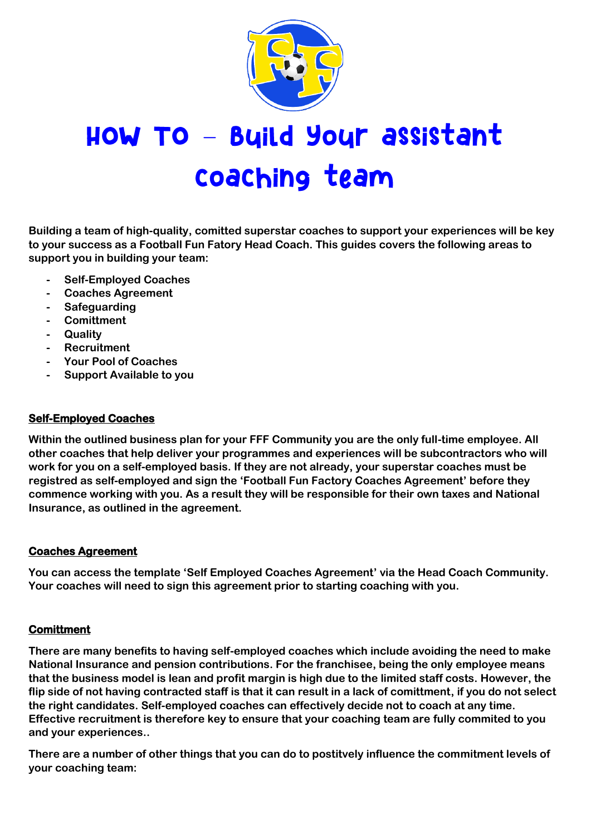

# HOW TO - Byild Your assistant coaching team

**Building a team of high-quality, comitted superstar coaches to support your experiences will be key to your success as a Football Fun Fatory Head Coach. This guides covers the following areas to support you in building your team:**

- **- Self-Employed Coaches**
- **- Coaches Agreement**
- **- Safeguarding**
- **- Comittment**
- **- Quality**
- **- Recruitment**
- **- Your Pool of Coaches**
- **- Support Available to you**

### **Self-Employed Coaches**

**Within the outlined business plan for your FFF Community you are the only full-time employee. All other coaches that help deliver your programmes and experiences will be subcontractors who will work for you on a self-employed basis. If they are not already, your superstar coaches must be registred as self-employed and sign the 'Football Fun Factory Coaches Agreement' before they commence working with you. As a result they will be responsible for their own taxes and National Insurance, as outlined in the agreement.**

### **Coaches Agreement**

**You can access the template 'Self Employed Coaches Agreement' via the Head Coach Community. Your coaches will need to sign this agreement prior to starting coaching with you.** 

### **Comittment**

**There are many benefits to having self-employed coaches which include avoiding the need to make National Insurance and pension contributions. For the franchisee, being the only employee means that the business model is lean and profit margin is high due to the limited staff costs. However, the flip side of not having contracted staff is that it can result in a lack of comittment, if you do not select the right candidates. Self-employed coaches can effectively decide not to coach at any time. Effective recruitment is therefore key to ensure that your coaching team are fully commited to you and your experiences..** 

**There are a number of other things that you can do to postitvely influence the commitment levels of your coaching team:**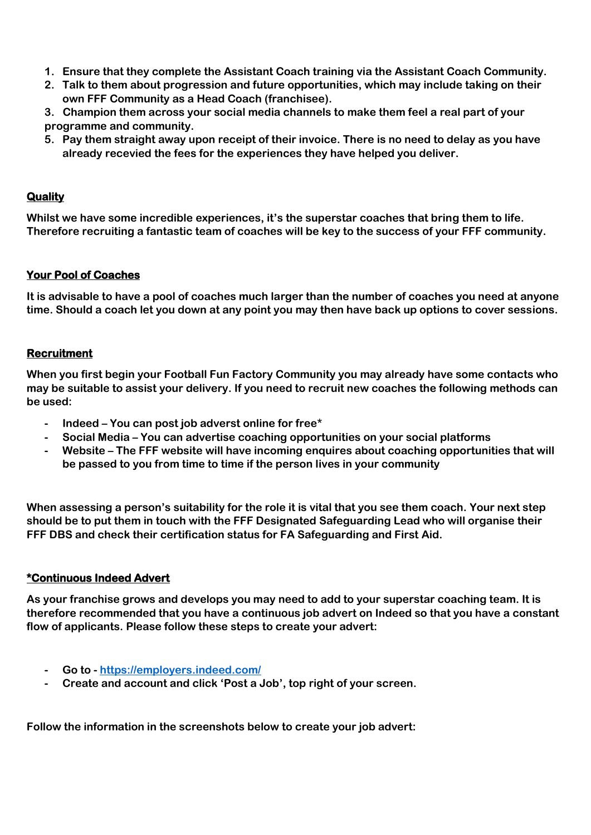- **1. Ensure that they complete the Assistant Coach training via the Assistant Coach Community.**
- **2. Talk to them about progression and future opportunities, which may include taking on their own FFF Community as a Head Coach (franchisee).**
- **3. Champion them across your social media channels to make them feel a real part of your programme and community.**
- **5. Pay them straight away upon receipt of their invoice. There is no need to delay as you have already recevied the fees for the experiences they have helped you deliver.**

### **Quality**

**Whilst we have some incredible experiences, it's the superstar coaches that bring them to life. Therefore recruiting a fantastic team of coaches will be key to the success of your FFF community.** 

### **Your Pool of Coaches**

**It is advisable to have a pool of coaches much larger than the number of coaches you need at anyone time. Should a coach let you down at any point you may then have back up options to cover sessions.**

### **Recruitment**

**When you first begin your Football Fun Factory Community you may already have some contacts who may be suitable to assist your delivery. If you need to recruit new coaches the following methods can be used:**

- **- Indeed – You can post job adverst online for free\***
- **- Social Media – You can advertise coaching opportunities on your social platforms**
- **- Website – The FFF website will have incoming enquires about coaching opportunities that will be passed to you from time to time if the person lives in your community**

**When assessing a person's suitability for the role it is vital that you see them coach. Your next step should be to put them in touch with the FFF Designated Safeguarding Lead who will organise their FFF DBS and check their certification status for FA Safeguarding and First Aid.**

### **\*Continuous Indeed Advert**

**As your franchise grows and develops you may need to add to your superstar coaching team. It is therefore recommended that you have a continuous job advert on Indeed so that you have a constant flow of applicants. Please follow these steps to create your advert:**

- **- Go to - <https://employers.indeed.com/>**
- **- Create and account and click 'Post a Job', top right of your screen.**

**Follow the information in the screenshots below to create your job advert:**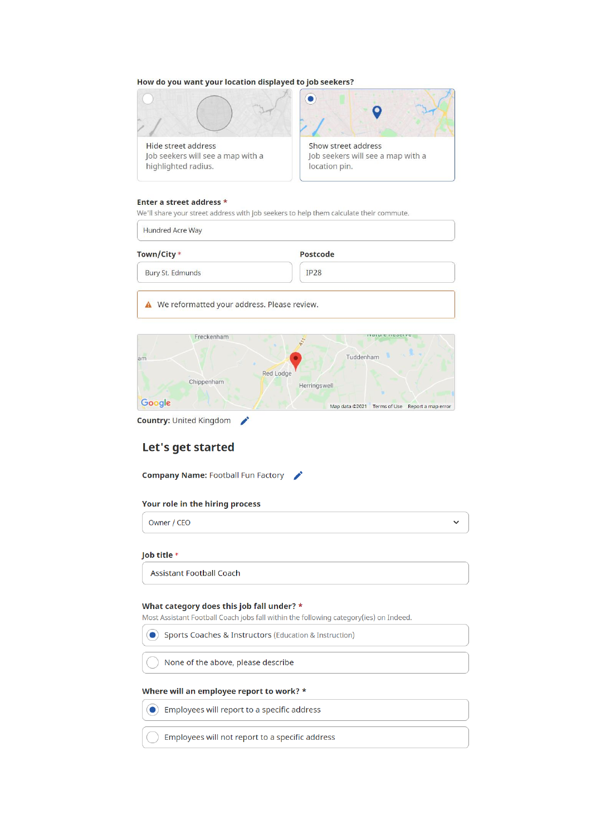### How do you want your location displayed to job seekers?



Job seekers will see a map with a highlighted radius.



#### Enter a street address \*

We'll share your street address with job seekers to help them calculate their commute.

| Town/City *      | Postcode |  |
|------------------|----------|--|
| Bury St. Edmunds | IP28     |  |

A We reformatted your address. Please review.



**Country: United Kingdom** 

### Let's get started

**Company Name: Football Fun Factory** 

### Your role in the hiring process

Owner / CEO

 $\checkmark$ 

### Job title \*

**Assistant Football Coach** 

#### What category does this job fall under? \*

Most Assistant Football Coach jobs fall within the following category(ies) on Indeed.

Sports Coaches & Instructors (Education & Instruction)

None of the above, please describe

### Where will an employee report to work? \*

 $\bigodot$  Employees will report to a specific address

Employees will not report to a specific address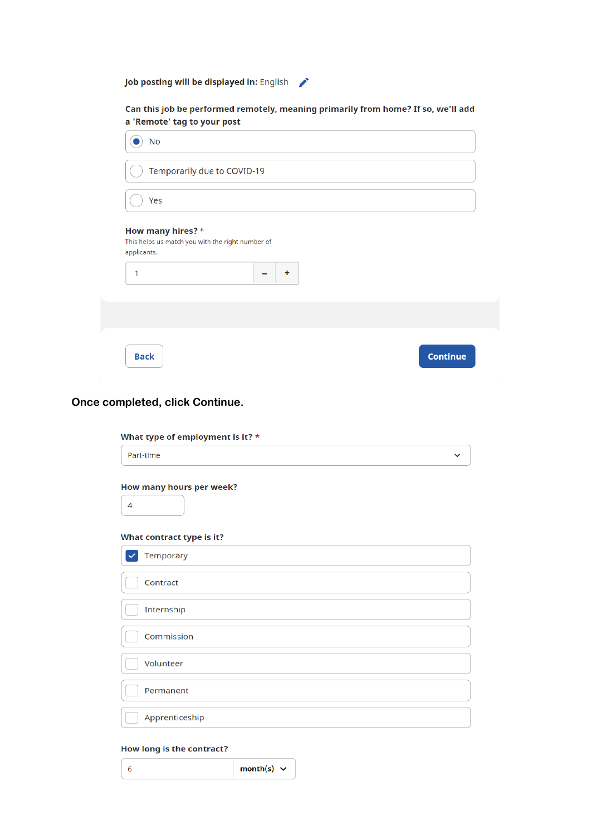Job posting will be displayed in: English

Can this job be performed remotely, meaning primarily from home? If so, we'll add a 'Remote' tag to your post

| <b>No</b>                                                                                      |                 |
|------------------------------------------------------------------------------------------------|-----------------|
| Temporarily due to COVID-19                                                                    |                 |
| Yes                                                                                            |                 |
| How many hires? *<br>This helps us match you with the right number of<br>applicants.<br>÷<br>1 |                 |
|                                                                                                |                 |
| <b>Back</b>                                                                                    | <b>Continue</b> |

### Once completed, click Continue.

| What type of employment is it? *                           |              |
|------------------------------------------------------------|--------------|
| Part-time                                                  | $\checkmark$ |
| How many hours per week?<br>4<br>What contract type is it? |              |
|                                                            |              |
| Temporary                                                  |              |
| Contract                                                   |              |
| Internship                                                 |              |
| Commission                                                 |              |
| Volunteer                                                  |              |
| Permanent                                                  |              |
| Apprenticeship                                             |              |

### **How long is the contract?**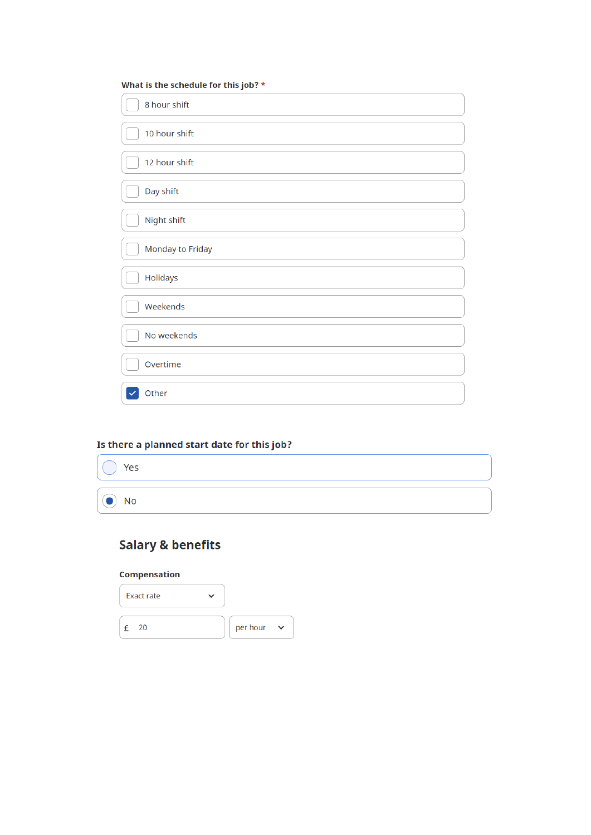| What is the schedule for this job? * |
|--------------------------------------|
| 8 hour shift                         |
| 10 hour shift                        |
| 12 hour shift                        |
| Day shift                            |
| Night shift                          |
| Monday to Friday                     |
| Holidays                             |
| Weekends                             |
| No weekends                          |
| Overtime                             |
| Other                                |

# Is there a planned start date for this job?

| $\bigcirc$ Yes |  |  |
|----------------|--|--|
|                |  |  |
| $\odot$ No     |  |  |

# **Salary & benefits**

### Compensation

| <b>Exact rate</b> |          |        |
|-------------------|----------|--------|
| 20                | per hour | $\sim$ |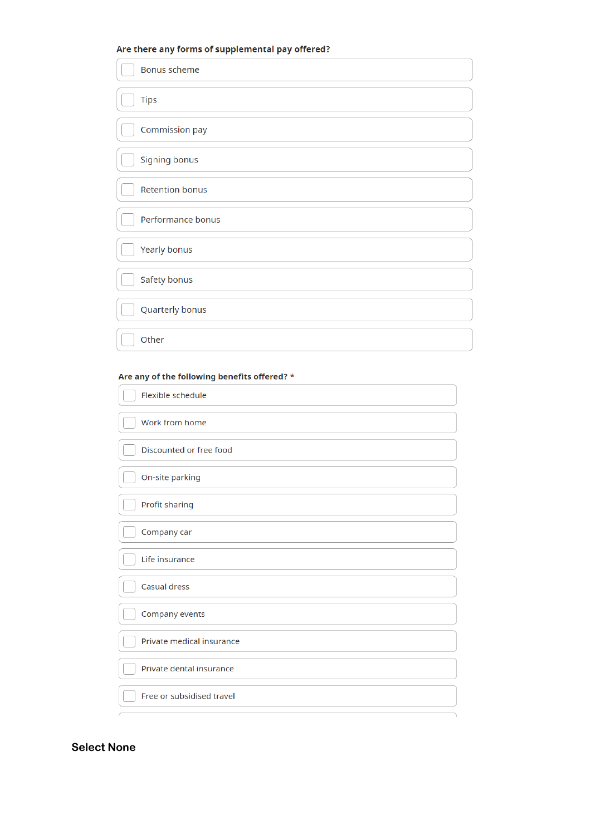### Are there any forms of supplemental pay offered?

| <b>Bonus scheme</b>    |
|------------------------|
| <b>Tips</b>            |
| Commission pay         |
| Signing bonus          |
| <b>Retention bonus</b> |
| Performance bonus      |
| Yearly bonus           |
| Safety bonus           |
| Quarterly bonus        |
| Other                  |

### Are any of the following benefits offered? \*

| Flexible schedule         |
|---------------------------|
| Work from home            |
| Discounted or free food   |
| On-site parking           |
| Profit sharing            |
| Company car               |
| Life insurance            |
| <b>Casual dress</b>       |
| Company events            |
| Private medical insurance |
| Private dental insurance  |
| Free or subsidised travel |
|                           |

### **Select None**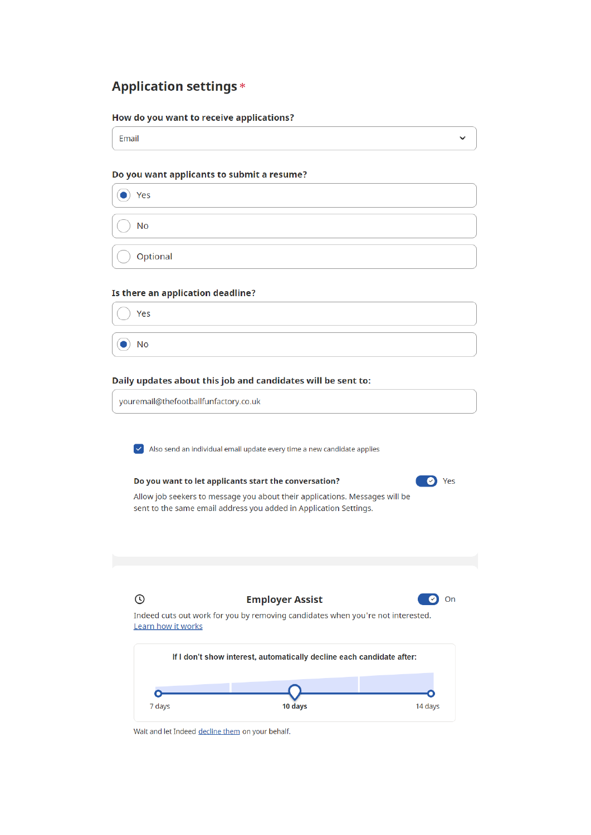# **Application settings \***

### How do you want to receive applications?

Email

### Do you want applicants to submit a resume?

 $\bullet$  Yes **No** 

Optional

### Is there an application deadline?

Yes

 $\bullet$ No

### Daily updates about this job and candidates will be sent to:

Do you want to let applicants start the conversation?

youremail@thefootballfunfactory.co.uk

 $\triangleright$  Also send an individual email update every time a new candidate applies



 $\checkmark$ 

Allow job seekers to message you about their applications. Messages will be sent to the same email address you added in Application Settings.



Wait and let Indeed decline them on your behalf.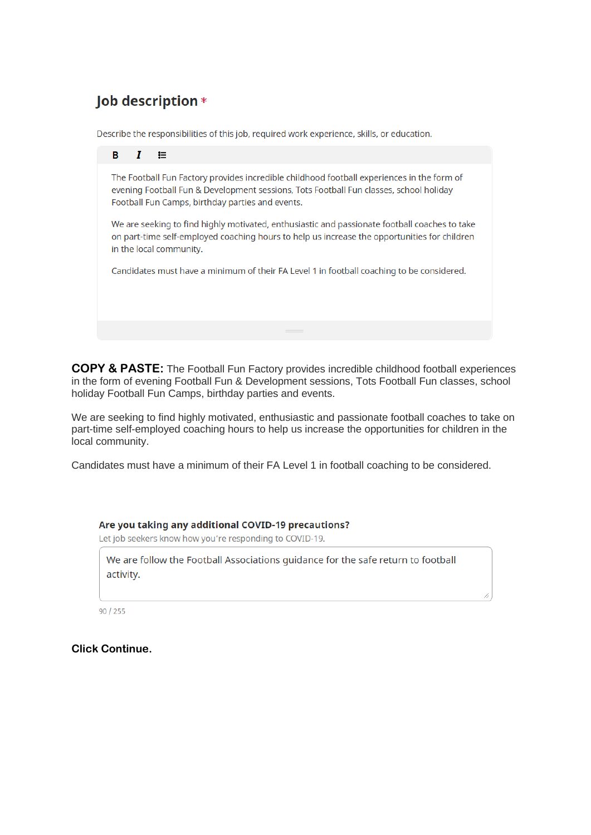# Job description \*

Describe the responsibilities of this job, required work experience, skills, or education.



**COPY & PASTE:** The Football Fun Factory provides incredible childhood football experiences in the form of evening Football Fun & Development sessions, Tots Football Fun classes, school holiday Football Fun Camps, birthday parties and events.

We are seeking to find highly motivated, enthusiastic and passionate football coaches to take on part-time self-employed coaching hours to help us increase the opportunities for children in the local community.

Candidates must have a minimum of their FA Level 1 in football coaching to be considered.

### Are you taking any additional COVID-19 precautions?

Let job seekers know how you're responding to COVID-19.

We are follow the Football Associations guidance for the safe return to football activity.

 $90 / 255$ 

**Click Continue.**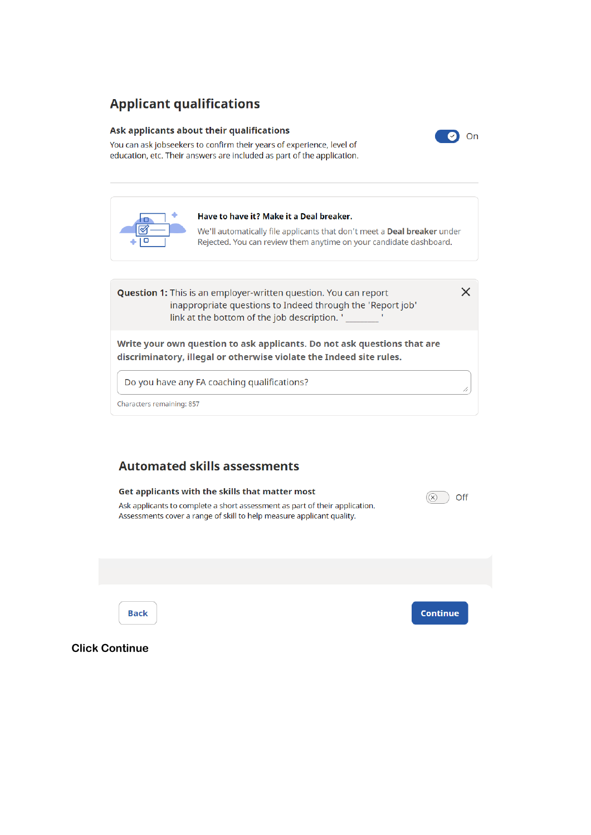# **Applicant qualifications**

### Ask applicants about their qualifications



You can ask jobseekers to confirm their years of experience, level of education, etc. Their answers are included as part of the application.



## **Automated skills assessments**



**Click Continue**